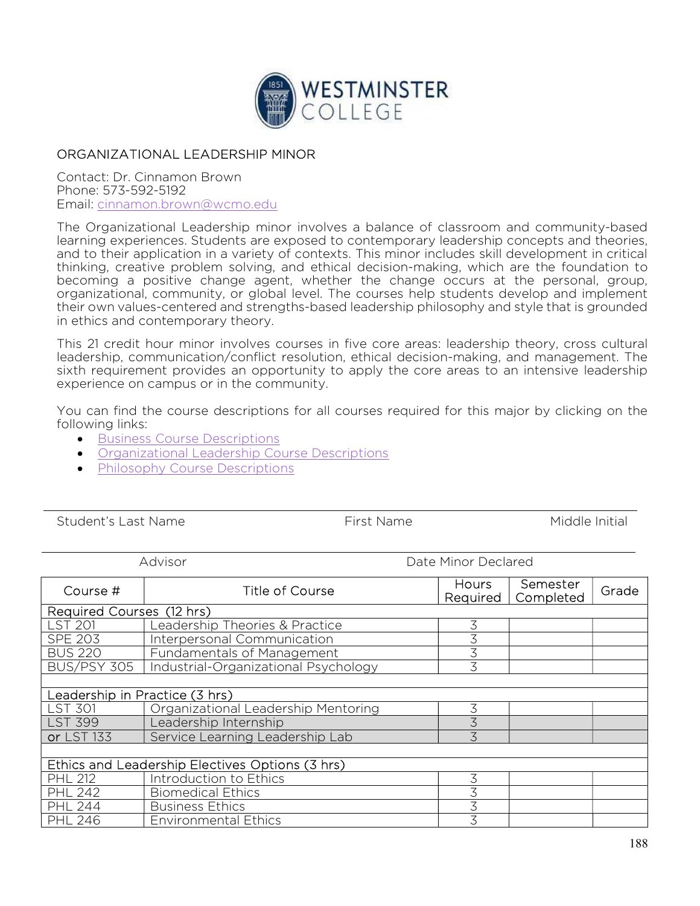

## ORGANIZATIONAL LEADERSHIP MINOR

Contact: Dr. Cinnamon Brown Phone: 573-592-5192 Email: cinnamon.brown@wcmo.edu

The Organizational Leadership minor involves a balance of classroom and community-based learning experiences. Students are exposed to contemporary leadership concepts and theories, and to their application in a variety of contexts. This minor includes skill development in critical thinking, creative problem solving, and ethical decision-making, which are the foundation to becoming a positive change agent, whether the change occurs at the personal, group, organizational, community, or global level. The courses help students develop and implement their own values-centered and strengths-based leadership philosophy and style that is grounded in ethics and contemporary theory.

This 21 credit hour minor involves courses in five core areas: leadership theory, cross cultural leadership, communication/conflict resolution, ethical decision-making, and management. The sixth requirement provides an opportunity to apply the core areas to an intensive leadership experience on campus or in the community.

You can find the course descriptions for all courses required for this major by clicking on the following links:

- **Business Course Descriptions**
- Organizational Leadership Course Descriptions
- Philosophy Course Descriptions

Student's Last Name The Student's Last Name The Middle Initial

| Advisor                                         |                                      | Date Minor Declared      |                       |       |  |  |  |
|-------------------------------------------------|--------------------------------------|--------------------------|-----------------------|-------|--|--|--|
| Course #                                        | Title of Course                      | <b>Hours</b><br>Required | Semester<br>Completed | Grade |  |  |  |
| Required Courses (12 hrs)                       |                                      |                          |                       |       |  |  |  |
| ST 201                                          | Leadership Theories & Practice       | 3                        |                       |       |  |  |  |
| <b>SPE 203</b>                                  | Interpersonal Communication          | 3                        |                       |       |  |  |  |
| <b>BUS 220</b>                                  | Fundamentals of Management           | 3                        |                       |       |  |  |  |
| <b>BUS/PSY 305</b>                              | Industrial-Organizational Psychology | 3                        |                       |       |  |  |  |
|                                                 |                                      |                          |                       |       |  |  |  |
| Leadership in Practice (3 hrs)                  |                                      |                          |                       |       |  |  |  |
| ST 301                                          | Organizational Leadership Mentoring  | 3                        |                       |       |  |  |  |
| <b>LST 399</b>                                  | Leadership Internship                | 3                        |                       |       |  |  |  |
| or LST 133                                      | Service Learning Leadership Lab      | 3                        |                       |       |  |  |  |
|                                                 |                                      |                          |                       |       |  |  |  |
| Ethics and Leadership Electives Options (3 hrs) |                                      |                          |                       |       |  |  |  |
| <b>PHL 212</b>                                  | Introduction to Ethics               | 3                        |                       |       |  |  |  |
| <b>PHL 242</b>                                  | <b>Biomedical Ethics</b>             | 3                        |                       |       |  |  |  |
| <b>PHL 244</b>                                  | <b>Business Ethics</b>               | 3                        |                       |       |  |  |  |
| <b>PHL 246</b>                                  | <b>Environmental Ethics</b>          | 3                        |                       |       |  |  |  |